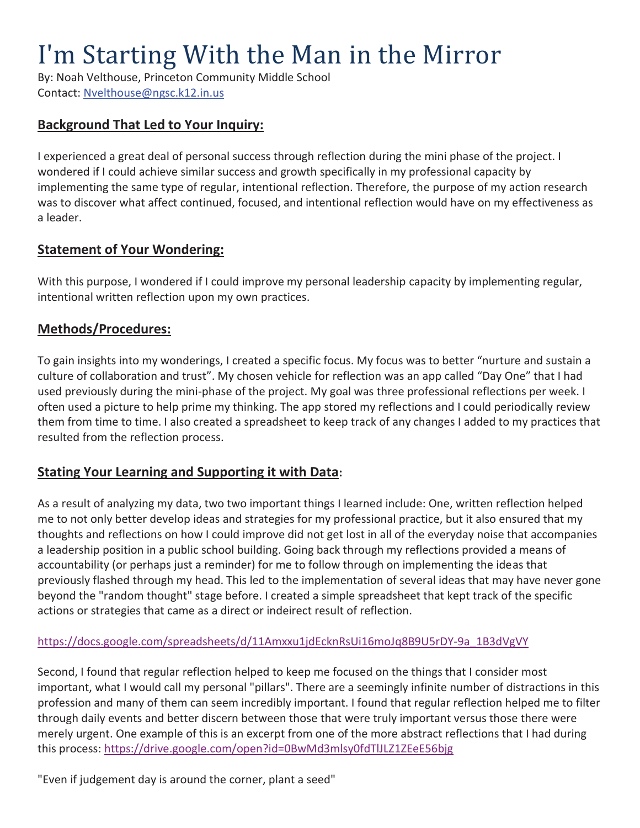# I'm Starting With the Man in the Mirror

By: Noah Velthouse, Princeton Community Middle School Contact: Nvelthouse@ngsc.k12.in.us

# **Background That Led to Your Inquiry:**

I experienced a great deal of personal success through reflection during the mini phase of the project. I wondered if I could achieve similar success and growth specifically in my professional capacity by implementing the same type of regular, intentional reflection. Therefore, the purpose of my action research was to discover what affect continued, focused, and intentional reflection would have on my effectiveness as a leader.

### **Statement of Your Wondering:**

With this purpose, I wondered if I could improve my personal leadership capacity by implementing regular, intentional written reflection upon my own practices.

# **Methods/Procedures:**

To gain insights into my wonderings, I created a specific focus. My focus was to better "nurture and sustain a culture of collaboration and trust". My chosen vehicle for reflection was an app called "Day One" that I had used previously during the mini-phase of the project. My goal was three professional reflections per week. I often used a picture to help prime my thinking. The app stored my reflections and I could periodically review them from time to time. I also created a spreadsheet to keep track of any changes I added to my practices that resulted from the reflection process.

## **Stating Your Learning and Supporting it with Data:**

As a result of analyzing my data, two two important things I learned include: One, written reflection helped me to not only better develop ideas and strategies for my professional practice, but it also ensured that my thoughts and reflections on how I could improve did not get lost in all of the everyday noise that accompanies a leadership position in a public school building. Going back through my reflections provided a means of accountability (or perhaps just a reminder) for me to follow through on implementing the ideas that previously flashed through my head. This led to the implementation of several ideas that may have never gone beyond the "random thought" stage before. I created a simple spreadsheet that kept track of the specific actions or strategies that came as a direct or indeirect result of reflection.

#### https://docs.google.com/spreadsheets/d/11Amxxu1jdEcknRsUi16moJq8B9U5rDY-9a\_1B3dVgVY

Second, I found that regular reflection helped to keep me focused on the things that I consider most important, what I would call my personal "pillars". There are a seemingly infinite number of distractions in this profession and many of them can seem incredibly important. I found that regular reflection helped me to filter through daily events and better discern between those that were truly important versus those there were merely urgent. One example of this is an excerpt from one of the more abstract reflections that I had during this process: https://drive.google.com/open?id=0BwMd3mlsy0fdTlJLZ1ZEeE56bjg

"Even if judgement day is around the corner, plant a seed"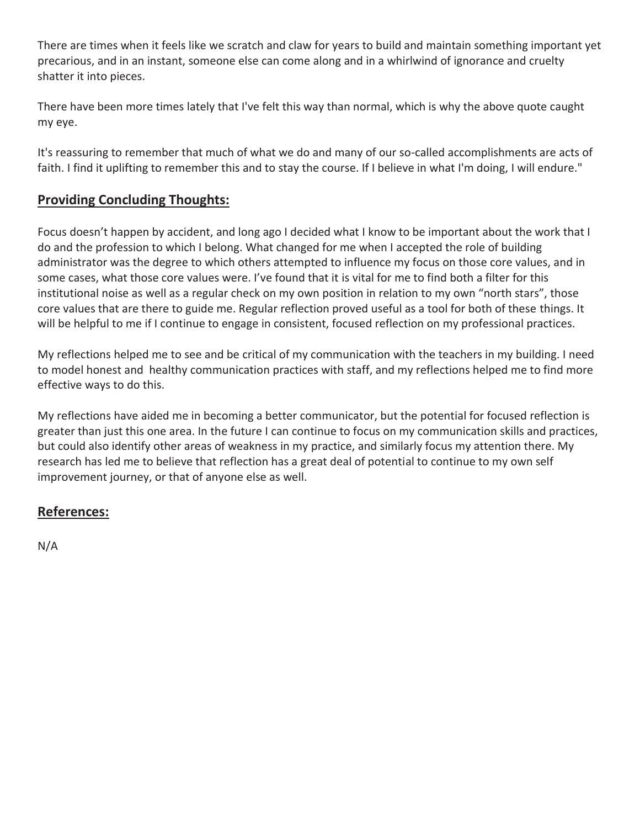There are times when it feels like we scratch and claw for years to build and maintain something important yet precarious, and in an instant, someone else can come along and in a whirlwind of ignorance and cruelty shatter it into pieces.

There have been more times lately that I've felt this way than normal, which is why the above quote caught my eye.

It's reassuring to remember that much of what we do and many of our so-called accomplishments are acts of faith. I find it uplifting to remember this and to stay the course. If I believe in what I'm doing, I will endure."

# **Providing Concluding Thoughts:**

Focus doesn't happen by accident, and long ago I decided what I know to be important about the work that I do and the profession to which I belong. What changed for me when I accepted the role of building administrator was the degree to which others attempted to influence my focus on those core values, and in some cases, what those core values were. I've found that it is vital for me to find both a filter for this institutional noise as well as a regular check on my own position in relation to my own "north stars", those core values that are there to guide me. Regular reflection proved useful as a tool for both of these things. It will be helpful to me if I continue to engage in consistent, focused reflection on my professional practices.

My reflections helped me to see and be critical of my communication with the teachers in my building. I need to model honest and healthy communication practices with staff, and my reflections helped me to find more effective ways to do this.

My reflections have aided me in becoming a better communicator, but the potential for focused reflection is greater than just this one area. In the future I can continue to focus on my communication skills and practices, but could also identify other areas of weakness in my practice, and similarly focus my attention there. My research has led me to believe that reflection has a great deal of potential to continue to my own self improvement journey, or that of anyone else as well.

# **References:**

N/A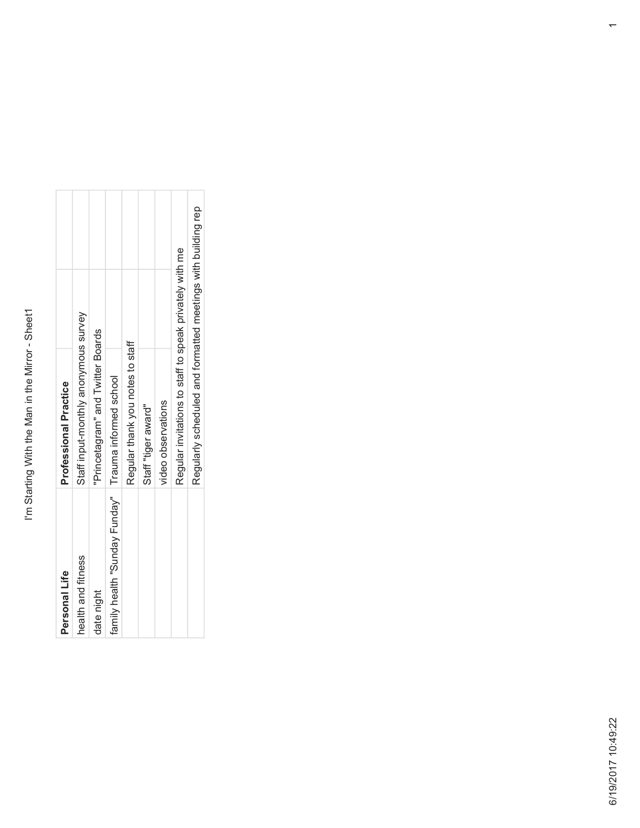| Professional Practice | Staff input-monthly anonymous survey | Princetagram" and Twitter Boards | family health "Sunday Funday"   Trauma informed school | Regular thank you notes to staff | Staff "tiger award" | video observations |                                                         |                                                              |  |
|-----------------------|--------------------------------------|----------------------------------|--------------------------------------------------------|----------------------------------|---------------------|--------------------|---------------------------------------------------------|--------------------------------------------------------------|--|
|                       |                                      |                                  |                                                        |                                  |                     |                    | Regular invitations to staff to speak privately with me | Regularly scheduled and formatted meetings with building rep |  |